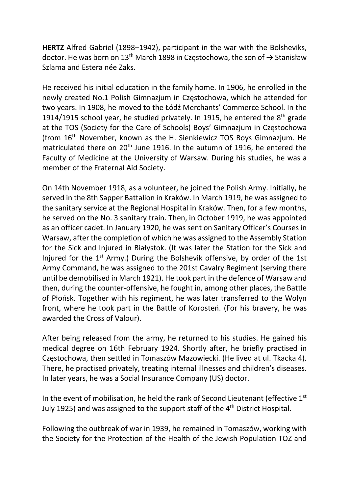HERTZ Alfred Gabriel (1898–1942), participant in the war with the Bolsheviks, doctor. He was born on 13<sup>th</sup> March 1898 in Częstochowa, the son of  $\rightarrow$  Stanisław Szlama and Estera née Zaks.

He received his initial education in the family home. In 1906, he enrolled in the newly created No.1 Polish Gimnazjum in Częstochowa, which he attended for two years. In 1908, he moved to the Łódź Merchants' Commerce School. In the 1914/1915 school year, he studied privately. In 1915, he entered the  $8<sup>th</sup>$  grade at the TOS (Society for the Care of Schools) Boys' Gimnazjum in Częstochowa (from 16th November, known as the H. Sienkiewicz TOS Boys Gimnazjum. He matriculated there on 20<sup>th</sup> June 1916. In the autumn of 1916, he entered the Faculty of Medicine at the University of Warsaw. During his studies, he was a member of the Fraternal Aid Society.

On 14th November 1918, as a volunteer, he joined the Polish Army. Initially, he served in the 8th Sapper Battalion in Kraków. In March 1919, he was assigned to the sanitary service at the Regional Hospital in Kraków. Then, for a few months, he served on the No. 3 sanitary train. Then, in October 1919, he was appointed as an officer cadet. In January 1920, he was sent on Sanitary Officer's Courses in Warsaw, after the completion of which he was assigned to the Assembly Station for the Sick and Injured in Białystok. (It was later the Station for the Sick and Injured for the 1st Army.) During the Bolshevik offensive, by order of the 1st Army Command, he was assigned to the 201st Cavalry Regiment (serving there until be demobilised in March 1921). He took part in the defence of Warsaw and then, during the counter-offensive, he fought in, among other places, the Battle of Płońsk. Together with his regiment, he was later transferred to the Wołyn front, where he took part in the Battle of Korosteń. (For his bravery, he was awarded the Cross of Valour).

After being released from the army, he returned to his studies. He gained his medical degree on 16th February 1924. Shortly after, he briefly practised in Częstochowa, then settled in Tomaszów Mazowiecki. (He lived at ul. Tkacka 4). There, he practised privately, treating internal illnesses and children's diseases. In later years, he was a Social Insurance Company (US) doctor.

In the event of mobilisation, he held the rank of Second Lieutenant (effective 1st July 1925) and was assigned to the support staff of the  $4<sup>th</sup>$  District Hospital.

Following the outbreak of war in 1939, he remained in Tomaszów, working with the Society for the Protection of the Health of the Jewish Population TOZ and